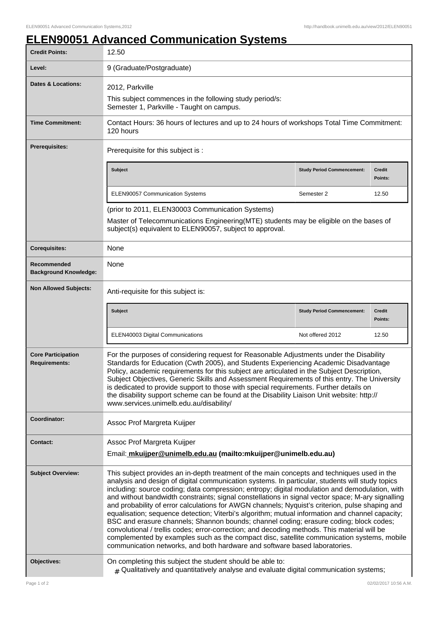## **ELEN90051 Advanced Communication Systems**

| <b>Credit Points:</b>                             | 12.50                                                                                                                                                                                                                                                                                                                                                                                                                                                                                                                                                                                                                                                                                                                                                                                                                                                                                                                                                                             |                                   |                          |
|---------------------------------------------------|-----------------------------------------------------------------------------------------------------------------------------------------------------------------------------------------------------------------------------------------------------------------------------------------------------------------------------------------------------------------------------------------------------------------------------------------------------------------------------------------------------------------------------------------------------------------------------------------------------------------------------------------------------------------------------------------------------------------------------------------------------------------------------------------------------------------------------------------------------------------------------------------------------------------------------------------------------------------------------------|-----------------------------------|--------------------------|
| Level:                                            | 9 (Graduate/Postgraduate)                                                                                                                                                                                                                                                                                                                                                                                                                                                                                                                                                                                                                                                                                                                                                                                                                                                                                                                                                         |                                   |                          |
| <b>Dates &amp; Locations:</b>                     | 2012, Parkville                                                                                                                                                                                                                                                                                                                                                                                                                                                                                                                                                                                                                                                                                                                                                                                                                                                                                                                                                                   |                                   |                          |
|                                                   | This subject commences in the following study period/s:<br>Semester 1, Parkville - Taught on campus.                                                                                                                                                                                                                                                                                                                                                                                                                                                                                                                                                                                                                                                                                                                                                                                                                                                                              |                                   |                          |
| <b>Time Commitment:</b>                           | Contact Hours: 36 hours of lectures and up to 24 hours of workshops Total Time Commitment:<br>120 hours                                                                                                                                                                                                                                                                                                                                                                                                                                                                                                                                                                                                                                                                                                                                                                                                                                                                           |                                   |                          |
| Prerequisites:                                    | Prerequisite for this subject is :                                                                                                                                                                                                                                                                                                                                                                                                                                                                                                                                                                                                                                                                                                                                                                                                                                                                                                                                                |                                   |                          |
|                                                   | Subject                                                                                                                                                                                                                                                                                                                                                                                                                                                                                                                                                                                                                                                                                                                                                                                                                                                                                                                                                                           | <b>Study Period Commencement:</b> | <b>Credit</b><br>Points: |
|                                                   | <b>ELEN90057 Communication Systems</b>                                                                                                                                                                                                                                                                                                                                                                                                                                                                                                                                                                                                                                                                                                                                                                                                                                                                                                                                            | Semester 2                        | 12.50                    |
|                                                   | (prior to 2011, ELEN30003 Communication Systems)                                                                                                                                                                                                                                                                                                                                                                                                                                                                                                                                                                                                                                                                                                                                                                                                                                                                                                                                  |                                   |                          |
|                                                   | Master of Telecommunications Engineering(MTE) students may be eligible on the bases of<br>subject(s) equivalent to ELEN90057, subject to approval.                                                                                                                                                                                                                                                                                                                                                                                                                                                                                                                                                                                                                                                                                                                                                                                                                                |                                   |                          |
| <b>Corequisites:</b>                              | None                                                                                                                                                                                                                                                                                                                                                                                                                                                                                                                                                                                                                                                                                                                                                                                                                                                                                                                                                                              |                                   |                          |
| Recommended<br><b>Background Knowledge:</b>       | None                                                                                                                                                                                                                                                                                                                                                                                                                                                                                                                                                                                                                                                                                                                                                                                                                                                                                                                                                                              |                                   |                          |
| <b>Non Allowed Subjects:</b>                      | Anti-requisite for this subject is:                                                                                                                                                                                                                                                                                                                                                                                                                                                                                                                                                                                                                                                                                                                                                                                                                                                                                                                                               |                                   |                          |
|                                                   | Subject                                                                                                                                                                                                                                                                                                                                                                                                                                                                                                                                                                                                                                                                                                                                                                                                                                                                                                                                                                           | <b>Study Period Commencement:</b> | <b>Credit</b><br>Points: |
|                                                   | ELEN40003 Digital Communications                                                                                                                                                                                                                                                                                                                                                                                                                                                                                                                                                                                                                                                                                                                                                                                                                                                                                                                                                  | Not offered 2012                  | 12.50                    |
| <b>Core Participation</b><br><b>Requirements:</b> | For the purposes of considering request for Reasonable Adjustments under the Disability<br>Standards for Education (Cwth 2005), and Students Experiencing Academic Disadvantage<br>Policy, academic requirements for this subject are articulated in the Subject Description,<br>Subject Objectives, Generic Skills and Assessment Requirements of this entry. The University<br>is dedicated to provide support to those with special requirements. Further details on<br>the disability support scheme can be found at the Disability Liaison Unit website: http://<br>www.services.unimelb.edu.au/disability/                                                                                                                                                                                                                                                                                                                                                                  |                                   |                          |
| Coordinator:                                      | Assoc Prof Margreta Kuijper                                                                                                                                                                                                                                                                                                                                                                                                                                                                                                                                                                                                                                                                                                                                                                                                                                                                                                                                                       |                                   |                          |
| <b>Contact:</b>                                   | Assoc Prof Margreta Kuijper                                                                                                                                                                                                                                                                                                                                                                                                                                                                                                                                                                                                                                                                                                                                                                                                                                                                                                                                                       |                                   |                          |
|                                                   | Email: mkuijper@unimelb.edu.au (mailto:mkuijper@unimelb.edu.au)                                                                                                                                                                                                                                                                                                                                                                                                                                                                                                                                                                                                                                                                                                                                                                                                                                                                                                                   |                                   |                          |
| <b>Subject Overview:</b>                          | This subject provides an in-depth treatment of the main concepts and techniques used in the<br>analysis and design of digital communication systems. In particular, students will study topics<br>including: source coding; data compression; entropy; digital modulation and demodulation, with<br>and without bandwidth constraints; signal constellations in signal vector space; M-ary signalling<br>and probability of error calculations for AWGN channels; Nyquist's criterion, pulse shaping and<br>equalisation; sequence detection; Viterbi's algorithm; mutual information and channel capacity;<br>BSC and erasure channels; Shannon bounds; channel coding; erasure coding; block codes;<br>convolutional / trellis codes; error-correction; and decoding methods. This material will be<br>complemented by examples such as the compact disc, satellite communication systems, mobile<br>communication networks, and both hardware and software based laboratories. |                                   |                          |
| Objectives:                                       | On completing this subject the student should be able to:<br>$_{\#}$ Qualitatively and quantitatively analyse and evaluate digital communication systems;                                                                                                                                                                                                                                                                                                                                                                                                                                                                                                                                                                                                                                                                                                                                                                                                                         |                                   |                          |